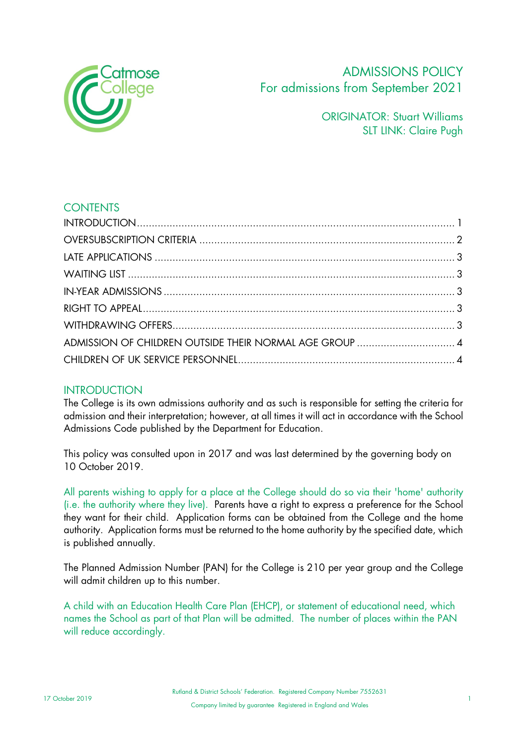

# ADMISSIONS POLICY For admissions from September 2021

ORIGINATOR: Stuart Williams SLT LINK: Claire Pugh

# **CONTENTS**

| ADMISSION OF CHILDREN OUTSIDE THEIR NORMAL AGE GROUP  4 |  |
|---------------------------------------------------------|--|
|                                                         |  |
|                                                         |  |

# **INTRODUCTION**

The College is its own admissions authority and as such is responsible for setting the criteria for admission and their interpretation; however, at all times it will act in accordance with the School Admissions Code published by the Department for Education.

This policy was consulted upon in 2017 and was last determined by the governing body on 10 October 2019.

All parents wishing to apply for a place at the College should do so via their 'home' authority (i.e. the authority where they live). Parents have a right to express a preference for the School they want for their child. Application forms can be obtained from the College and the home authority. Application forms must be returned to the home authority by the specified date, which is published annually.

The Planned Admission Number (PAN) for the College is 210 per year group and the College will admit children up to this number.

A child with an Education Health Care Plan (EHCP), or statement of educational need, which names the School as part of that Plan will be admitted. The number of places within the PAN will reduce accordingly.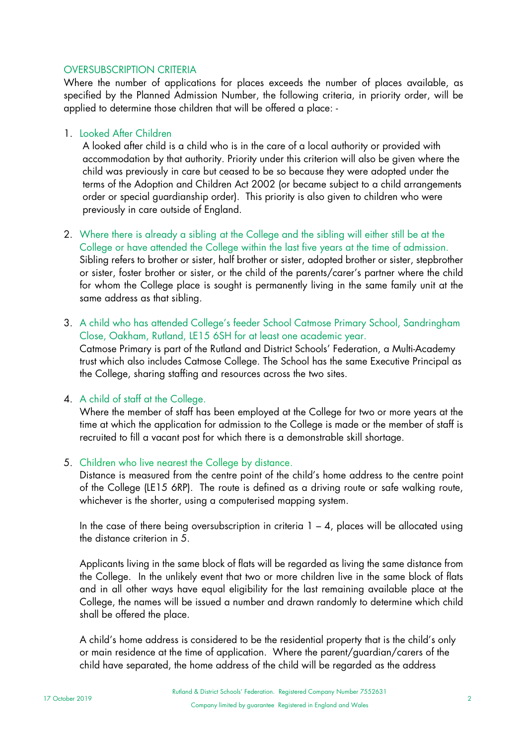## OVERSUBSCRIPTION CRITERIA

Where the number of applications for places exceeds the number of places available, as specified by the Planned Admission Number, the following criteria, in priority order, will be applied to determine those children that will be offered a place: -

## 1. Looked After Children

A looked after child is a child who is in the care of a local authority or provided with accommodation by that authority. Priority under this criterion will also be given where the child was previously in care but ceased to be so because they were adopted under the terms of the Adoption and Children Act 2002 (or became subject to a child arrangements order or special guardianship order). This priority is also given to children who were previously in care outside of England.

- 2. Where there is already a sibling at the College and the sibling will either still be at the College or have attended the College within the last five years at the time of admission. Sibling refers to brother or sister, half brother or sister, adopted brother or sister, stepbrother or sister, foster brother or sister, or the child of the parents/carer's partner where the child for whom the College place is sought is permanently living in the same family unit at the same address as that sibling.
- 3. A child who has attended College's feeder School Catmose Primary School, Sandringham Close, Oakham, Rutland, LE15 6SH for at least one academic year. Catmose Primary is part of the Rutland and District Schools' Federation, a Multi-Academy trust which also includes Catmose College. The School has the same Executive Principal as the College, sharing staffing and resources across the two sites.

## 4. A child of staff at the College.

Where the member of staff has been employed at the College for two or more years at the time at which the application for admission to the College is made or the member of staff is recruited to fill a vacant post for which there is a demonstrable skill shortage.

#### 5. Children who live nearest the College by distance.

Distance is measured from the centre point of the child's home address to the centre point of the College (LE15 6RP). The route is defined as a driving route or safe walking route, whichever is the shorter, using a computerised mapping system.

In the case of there being oversubscription in criteria  $1 - 4$ , places will be allocated using the distance criterion in 5.

Applicants living in the same block of flats will be regarded as living the same distance from the College. In the unlikely event that two or more children live in the same block of flats and in all other ways have equal eligibility for the last remaining available place at the College, the names will be issued a number and drawn randomly to determine which child shall be offered the place.

A child's home address is considered to be the residential property that is the child's only or main residence at the time of application. Where the parent/guardian/carers of the child have separated, the home address of the child will be regarded as the address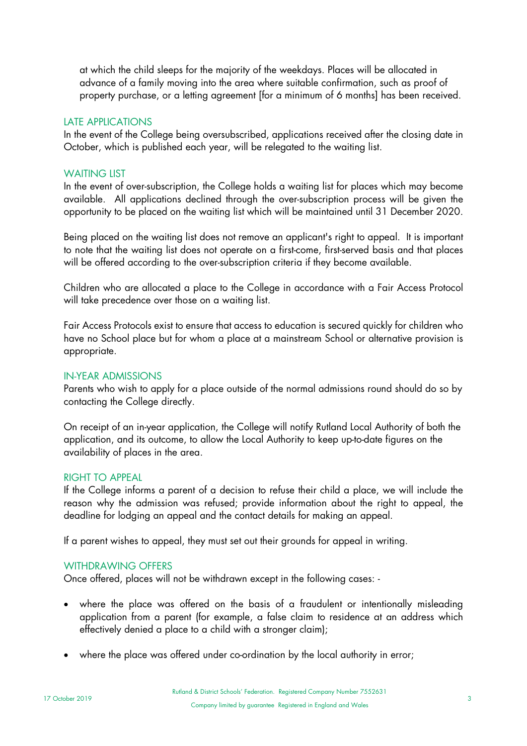at which the child sleeps for the majority of the weekdays. Places will be allocated in advance of a family moving into the area where suitable confirmation, such as proof of property purchase, or a letting agreement [for a minimum of 6 months] has been received.

#### LATE APPLICATIONS

In the event of the College being oversubscribed, applications received after the closing date in October, which is published each year, will be relegated to the waiting list.

## WAITING LIST

In the event of over-subscription, the College holds a waiting list for places which may become available. All applications declined through the over-subscription process will be given the opportunity to be placed on the waiting list which will be maintained until 31 December 2020.

Being placed on the waiting list does not remove an applicant's right to appeal. It is important to note that the waiting list does not operate on a first-come, first-served basis and that places will be offered according to the over-subscription criteria if they become available.

Children who are allocated a place to the College in accordance with a Fair Access Protocol will take precedence over those on a waiting list.

Fair Access Protocols exist to ensure that access to education is secured quickly for children who have no School place but for whom a place at a mainstream School or alternative provision is appropriate.

#### IN-YEAR ADMISSIONS

Parents who wish to apply for a place outside of the normal admissions round should do so by contacting the College directly.

On receipt of an in-year application, the College will notify Rutland Local Authority of both the application, and its outcome, to allow the Local Authority to keep up-to-date figures on the availability of places in the area.

#### RIGHT TO APPEAL

If the College informs a parent of a decision to refuse their child a place, we will include the reason why the admission was refused; provide information about the right to appeal, the deadline for lodging an appeal and the contact details for making an appeal.

If a parent wishes to appeal, they must set out their grounds for appeal in writing.

#### WITHDRAWING OFFERS

Once offered, places will not be withdrawn except in the following cases: -

- where the place was offered on the basis of a fraudulent or intentionally misleading application from a parent (for example, a false claim to residence at an address which effectively denied a place to a child with a stronger claim);
- where the place was offered under co-ordination by the local authority in error;